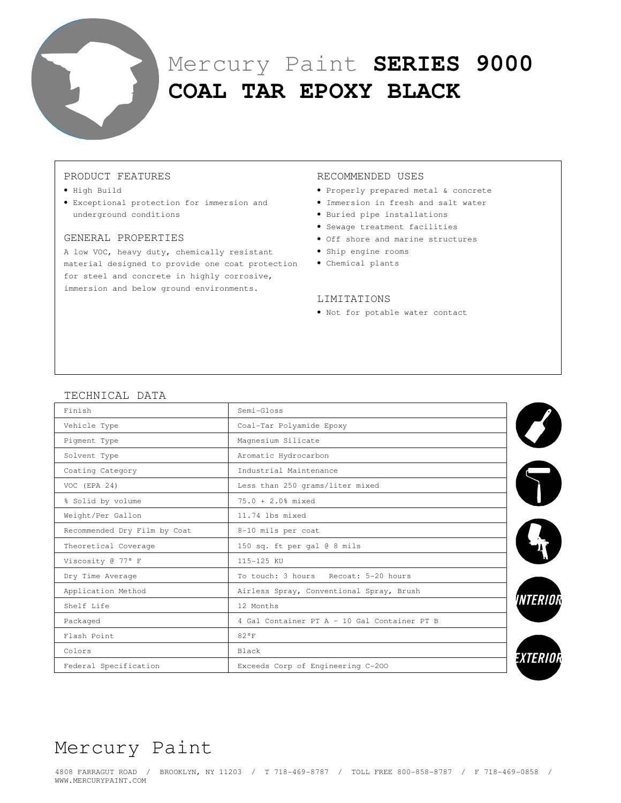

# Mercury Paint **SERIES 9000 COAL TAR EPOXY BLACK**

## PRODUCT FEATURES

- High Build
- Exceptional protection for immersion and underground conditions

#### GENERAL PROPERTIES

A low VOC, heavy duty, chemically resistant material designed to provide one coat protection • Chemical plants for steel and concrete in highly corrosive, immersion and below ground environments.

#### RECOMMENDED USES

- Properly prepared metal & concrete
- Immersion in fresh and salt water
- Buried pipe installations
- Sewage treatment facilities
- Off shore and marine structures
- Ship engine rooms
- 

#### LIMITATIONS

• Not for potable water contact

### TECHNICAL DATA

| Finish                       | Semi-Gloss                                   |  |  |
|------------------------------|----------------------------------------------|--|--|
| Vehicle Type                 | Coal-Tar Polyamide Epoxy                     |  |  |
| Pigment Type                 | Magnesium Silicate                           |  |  |
| Solvent Type                 | Aromatic Hydrocarbon                         |  |  |
| Coating Category             | Industrial Maintenance                       |  |  |
| $VOC$ (EPA 24)               | Less than 250 grams/liter mixed              |  |  |
| % Solid by volume            | $75.0 + 2.0$ % mixed                         |  |  |
| Weight/Per Gallon            | 11.74 lbs mixed                              |  |  |
| Recommended Dry Film by Coat | 8-10 mils per coat                           |  |  |
| Theoretical Coverage         | 150 sq. ft per gal @ 8 mils                  |  |  |
| Viscosity @ 77° F            | 115-125 KU                                   |  |  |
| Dry Time Average             | To touch: 3 hours Recoat: 5-20 hours         |  |  |
| Application Method           | Airless Spray, Conventional Spray, Brush     |  |  |
| Shelf Life                   | 12 Months                                    |  |  |
| Packaged                     | 4 Gal Container PT A - 10 Gal Container PT B |  |  |
| Flash Point                  | 82°F                                         |  |  |
| Colors                       | <b>Black</b>                                 |  |  |
| Federal Specification        | Exceeds Corp of Engineering C-200            |  |  |

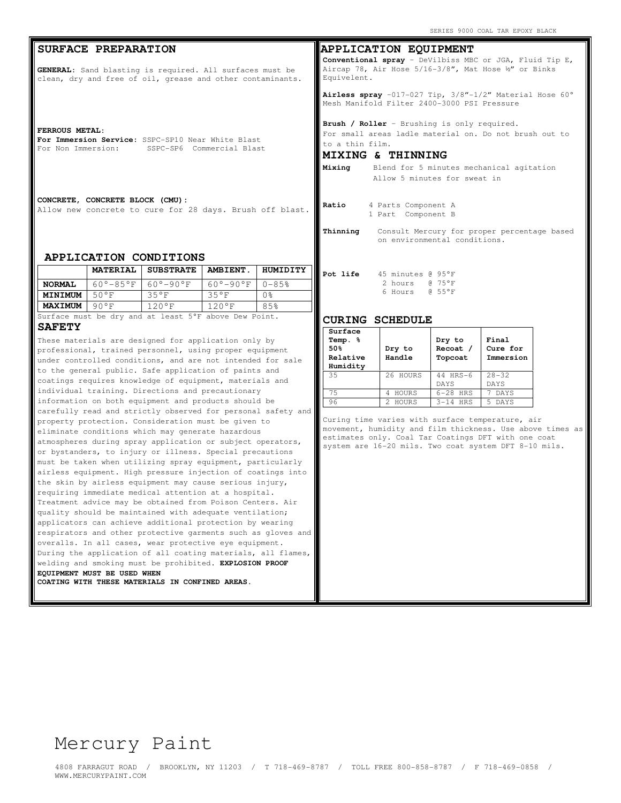#### **SURFACE PREPARATION**

**GENERAL:** Sand blasting is required. All surfaces must be clean, dry and free of oil, grease and other contaminants.

**FERROUS METAL:** 

**For Immersion Service:** SSPC-SP10 Near White Blast For Non Immersion: SSPC-SP6 Commercial Blast

**CONCRETE, CONCRETE BLOCK (CMU):**  Allow new concrete to cure for 28 days. Brush off blast.

#### **APPLICATION CONDITIONS**

|                                                       |                           | <b>MATERIAL   SUBSTRATE</b> | <b>AMBIENT</b> .          | HUMIDITY |
|-------------------------------------------------------|---------------------------|-----------------------------|---------------------------|----------|
| <b>NORMAL</b>                                         | $60^{\circ}-85^{\circ}$ F | $160^\circ - 90^\circ F$    | $60^{\circ}-90^{\circ}$ F | $0 - 85$ |
| <b>MINIMUM</b>                                        | 50°F                      | 35°F                        | 35°F                      | 0응       |
| <b>MAXIMUM</b>                                        | 90°F                      | $120°$ F                    | 120°F                     | 85%      |
| Surface must be dry and at least 5°F above Dew Point. |                           |                             |                           |          |

**SAFETY** 

These materials are designed for application only by professional, trained personnel, using proper equipment under controlled conditions, and are not intended for sale to the general public. Safe application of paints and coatings requires knowledge of equipment, materials and individual training. Directions and precautionary information on both equipment and products should be carefully read and strictly observed for personal safety and property protection. Consideration must be given to eliminate conditions which may generate hazardous atmospheres during spray application or subject operators, or bystanders, to injury or illness. Special precautions must be taken when utilizing spray equipment, particularly airless equipment. High pressure injection of coatings into the skin by airless equipment may cause serious injury, requiring immediate medical attention at a hospital. Treatment advice may be obtained from Poison Centers. Air quality should be maintained with adequate ventilation; applicators can achieve additional protection by wearing respirators and other protective garments such as gloves and overalls. In all cases, wear protective eye equipment. During the application of all coating materials, all flames, welding and smoking must be prohibited. **EXPLOSION PROOF EQUIPMENT MUST BE USED WHEN COATING WITH THESE MATERIALS IN CONFINED AREAS.** 

**APPLICATION EQUIPMENT Conventional spray** – DeVilbiss MBC or JGA, Fluid Tip E, Aircap 78, Air Hose 5/16-3/8", Mat Hose ½" or Binks Equivelent.

**Airless spray** –017-027 Tip, 3/8"-1/2" Material Hose 60° Mesh Manifold Filter 2400-3000 PSI Pressure

**Brush / Roller** - Brushing is only required. For small areas ladle material on. Do not brush out to to a thin film.

#### **MIXING & THINNING**

| Mixing |  |
|--------|--|
|        |  |

**Mixing** Blend for 5 minutes mechanical agitation Allow 5 minutes for sweat in

| Ratio |  | 4 Parts Component A |  |
|-------|--|---------------------|--|
|       |  | 1 Part Component B  |  |
|       |  |                     |  |

**Thinning** Consult Mercury for proper percentage based on environmental conditions.

| Pot life | 45 minutes @ 95°F   |                  |
|----------|---------------------|------------------|
|          | 2 hours $(4.75)$ °F |                  |
|          | 6 Hours             | $0.55^{\circ}$ F |

#### **CURING SCHEDULE**

| Surface<br>Temp.<br>℁<br>50%<br>Relative<br>Humidity | Dry to<br>Handle | Dry to<br>Recoat /<br>Topcoat | Final<br>Cure for<br>Immersion |
|------------------------------------------------------|------------------|-------------------------------|--------------------------------|
| 35                                                   | 26 HOURS         | 44 HRS-6<br>DAYS              | $28 - 32$<br><b>DAYS</b>       |
| 75                                                   | HOURS            | $6-28$ HRS                    | <b>DAYS</b>                    |
| 96                                                   | HOURS            | $3-14$ HRS                    | DAYS<br>5                      |

Curing time varies with surface temperature, air movement, humidity and film thickness. Use above times as estimates only. Coal Tar Coatings DFT with one coat system are 16-20 mils. Two coat system DFT 8-10 mils.

# Mercury Paint

4808 FARRAGUT ROAD / BROOKLYN, NY 11203 / T 718-469-8787 / TOLL FREE 800-858-8787 / F 718-469-0858 / WWW.MERCURYPAINT.COM